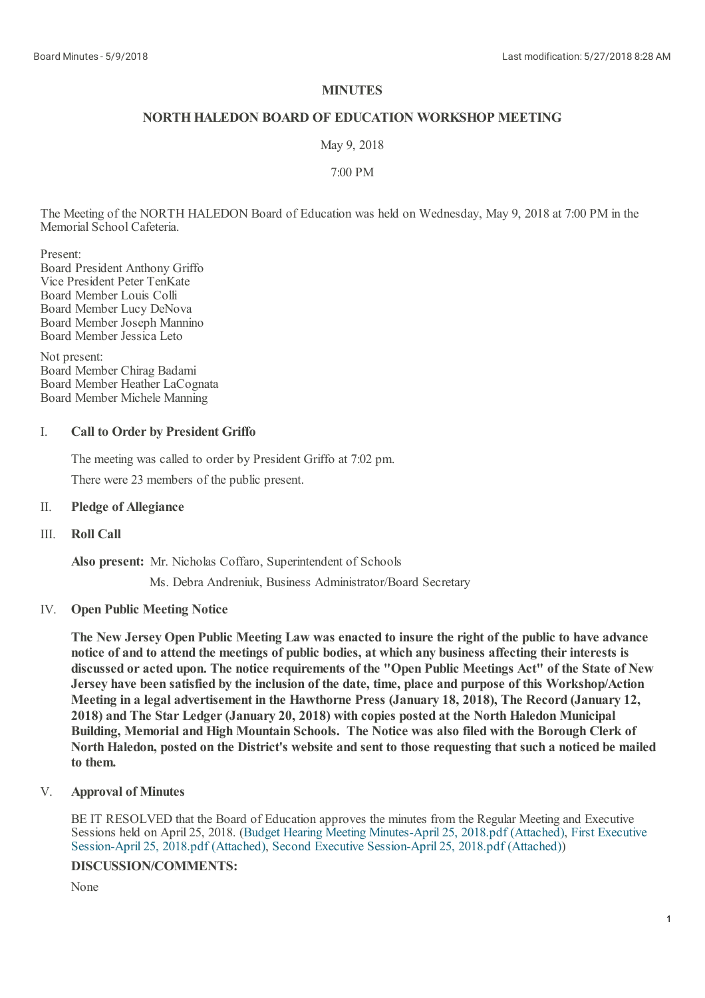## **MINUTES**

## **NORTHHALEDON BOARD OF EDUCATION WORKSHOP MEETING**

May 9, 2018

7:00 PM

The Meeting of the NORTH HALEDON Board of Education was held on Wednesday, May 9, 2018 at 7:00 PM in the Memorial School Cafeteria.

Present:

Board President Anthony Griffo Vice President Peter TenKate Board Member Louis Colli Board Member Lucy DeNova Board Member Joseph Mannino Board Member Jessica Leto

Not present: Board Member Chirag Badami Board Member Heather LaCognata Board Member Michele Manning

### I. **Call to Order by President Griffo**

The meeting was called to order by President Griffo at 7:02 pm. There were 23 members of the public present.

## II. **Pledge of Allegiance**

### III. **Roll Call**

**Also present:** Mr. Nicholas Coffaro, Superintendent of Schools

Ms. Debra Andreniuk, Business Administrator/Board Secretary

# IV. **Open Public Meeting Notice**

The New Jersey Open Public Meeting Law was enacted to insure the right of the public to have advance **notice of and to attend the meetings of public bodies, at which any business affecting theirinterests is** discussed or acted upon. The notice requirements of the "Open Public Meetings Act" of the State of New **Jersey have been satisfied by the inclusion of the date, time, place and purpose of this Workshop/Action Meeting in a legal advertisement in the Hawthorne Press (January 18, 2018), The Record (January 12, 2018) and The Star Ledger(January 20, 2018) with copies posted at the North Haledon Municipal Building, Memorial and High Mountain Schools. The Notice was also filed with the Borough Clerk of** North Haledon, posted on the District's website and sent to those requesting that such a noticed be mailed **to them.**

### V. **Approval of Minutes**

BE IT RESOLVED that the Board of Education approves the minutes from the Regular Meeting and Executive Sessions held on April 25, 2018. (Budget Hearing Meeting [Minutes-April](https://www.boardconnectnj.com/Item/DownloadAttachment/489) 25, 2018.pdf (Attached), First Executive Session-April 25, 2018.pdf (Attached), Second Executive [Session-April](https://www.boardconnectnj.com/Item/DownloadAttachment/490) 25, 2018.pdf (Attached))

## **DISCUSSION/COMMENTS:**

None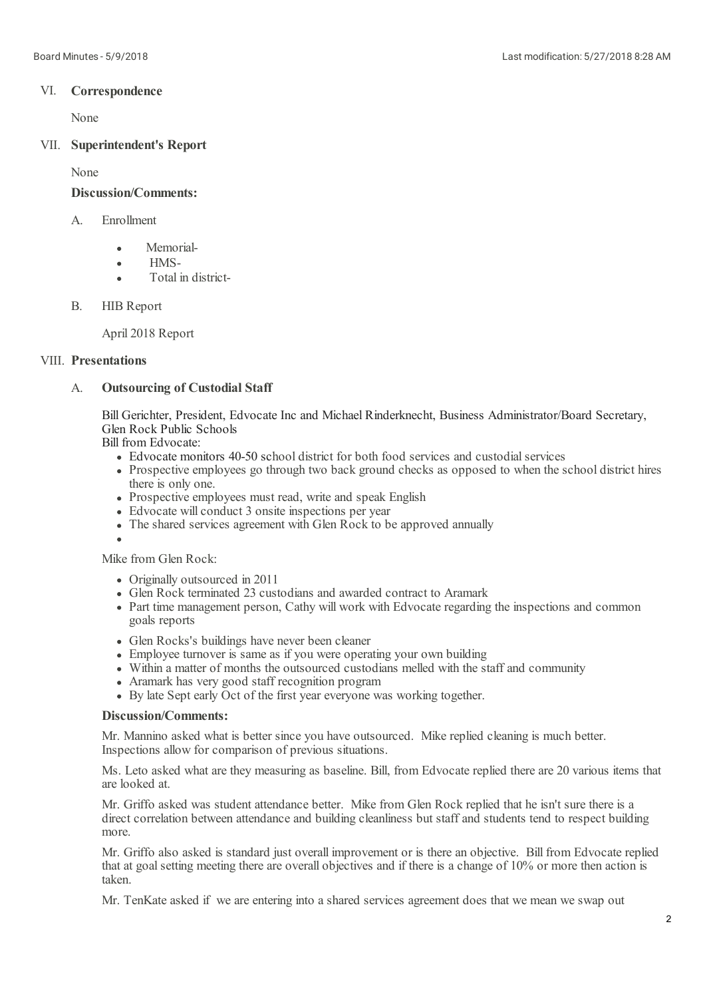# VI. **Correspondence**

None

# VII. **Superintendent's Report**

None

## **Discussion/Comments:**

### A. Enrollment

- Memorial-Ä
- HMS- $\bullet$
- Total in districtä
- B. HIB Report

April 2018 Report

## VIII. **Presentations**

### A. **Outsourcing of Custodial Staff**

Bill Gerichter, President, Edvocate Inc and Michael Rinderknecht, Business Administrator/Board Secretary, Glen Rock Public Schools

Bill from Edvocate:

- Edvocate monitors 40-50 school district for both food services and custodial services
- Prospective employees go through two back ground checks as opposed to when the school district hires there is only one.
- Prospective employees must read, write and speak English
- Edvocate will conduct 3 onsite inspections per year
- The shared services agreement with Glen Rock to be approved annually

Mike from Glen Rock:

- Originally outsourced in 2011
- Glen Rock terminated 23 custodians and awarded contract to Aramark
- Part time management person, Cathy will work with Edvocate regarding the inspections and common goals reports
- Glen Rocks's buildings have never been cleaner
- Employee turnover is same as if you were operating your own building
- Within a matter of months the outsourced custodians melled with the staff and community
- Aramark has very good staff recognition program
- By late Sept early Oct of the first year everyone was working together.

## **Discussion/Comments:**

Mr. Mannino asked what is better since you have outsourced. Mike replied cleaning is much better. Inspections allow for comparison of previous situations.

Ms. Leto asked what are they measuring as baseline. Bill, from Edvocate replied there are 20 various items that are looked at.

Mr. Griffo asked was student attendance better. Mike from Glen Rock replied that he isn't sure there is a direct correlation between attendance and building cleanliness but staff and students tend to respect building more.

Mr. Griffo also asked is standard just overall improvement or is there an objective. Bill from Edvocate replied that at goal setting meeting there are overall objectives and if there is a change of 10% or more then action is taken.

Mr. TenKate asked if we are entering into a shared services agreement does that we mean we swap out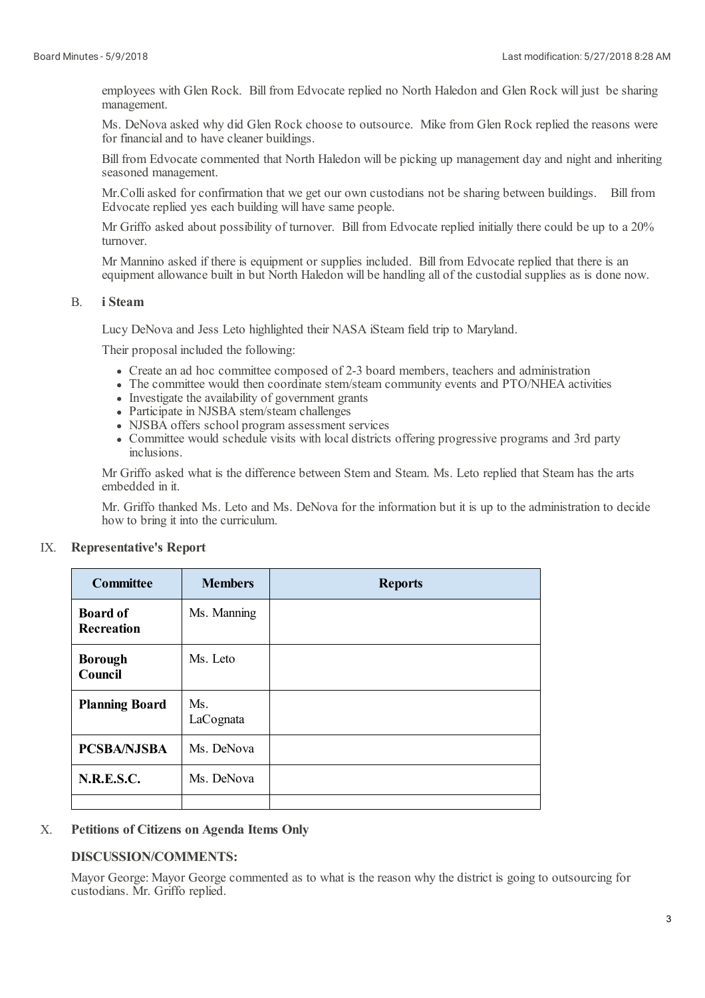employees with Glen Rock. Bill from Edvocate replied no North Haledon and Glen Rock will just be sharing management.

Ms. DeNova asked why did Glen Rock choose to outsource. Mike from Glen Rock replied the reasons were for financial and to have cleaner buildings.

Bill from Edvocate commented that North Haledon will be picking up management day and night and inheriting seasoned management.

Mr.Colliasked for confirmation that we get our own custodians not be sharing between buildings. Bill from Edvocate replied yes each building will have same people.

Mr Griffo asked about possibility of turnover. Bill from Edvocate replied initially there could be up to a 20% turnover.

Mr Mannino asked if there is equipment or supplies included. Bill from Edvocate replied that there is an equipment allowance built in but North Haledon will be handling all of the custodial supplies as is done now.

### B. **i Steam**

Lucy DeNova and Jess Leto highlighted their NASA iSteam field trip to Maryland.

Their proposal included the following:

- Create an ad hoc committee composed of 2-3 board members, teachers and administration
- The committee would then coordinate stem/steam community events and PTO/NHEA activities
- Investigate the availability of government grants
- Participate in NJSBA stem/steam challenges
- NJSBA offers school program assessment services
- Committee would schedule visits with local districts offering progressive programs and 3rd party inclusions.

Mr Griffo asked what is the difference between Stem and Steam. Ms. Leto replied that Steam has the arts embedded in it.

Mr. Griffo thanked Ms. Leto and Ms. DeNova for the information but it is up to the administration to decide how to bring it into the curriculum.

### IX. **Representative's Report**

| <b>Committee</b>              | <b>Members</b>   | <b>Reports</b> |
|-------------------------------|------------------|----------------|
| <b>Board of</b><br>Recreation | Ms. Manning      |                |
| <b>Borough</b><br>Council     | Ms. Leto         |                |
| <b>Planning Board</b>         | Ms.<br>LaCognata |                |
| <b>PCSBA/NJSBA</b>            | Ms. DeNova       |                |
| <b>N.R.E.S.C.</b>             | Ms. DeNova       |                |
|                               |                  |                |

### X. **Petitions of Citizens on Agenda Items Only**

## **DISCUSSION/COMMENTS:**

Mayor George: Mayor George commented as to what is the reason why the district is going to outsourcing for custodians. Mr. Griffo replied.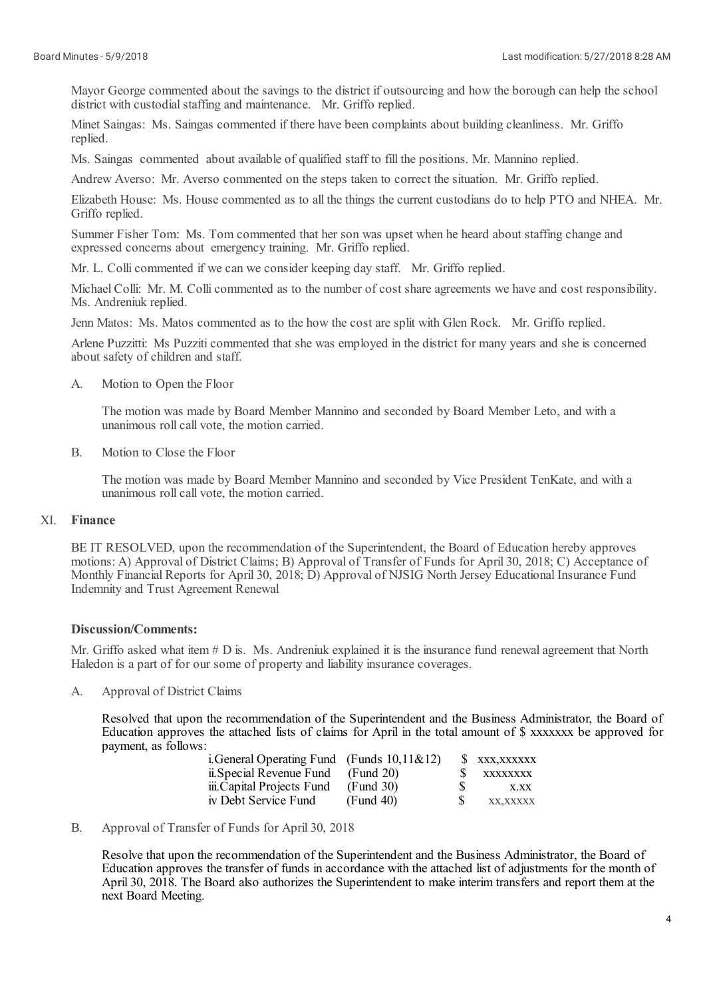Mayor George commented about the savings to the district if outsourcing and how the borough can help the school district with custodial staffing and maintenance. Mr. Griffo replied.

Minet Saingas: Ms. Saingas commented if there have been complaints about building cleanliness. Mr. Griffo replied.

Ms. Saingas commented about available of qualified staff to fill the positions. Mr. Mannino replied.

Andrew Averso: Mr. Averso commented on the steps taken to correct the situation. Mr. Griffo replied.

Elizabeth House: Ms. House commented as to all the things the current custodians do to help PTO and NHEA. Mr. Griffo replied.

Summer Fisher Tom: Ms. Tom commented that her son was upset when he heard about staffing change and expressed concerns about emergency training. Mr. Griffo replied.

Mr. L. Collicommented if we can we consider keeping day staff. Mr. Griffo replied.

Michael Colli: Mr. M. Collicommented as to the number of cost share agreements we have and cost responsibility. Ms. Andreniuk replied.

Jenn Matos: Ms. Matos commented as to the how the cost are split with Glen Rock. Mr. Griffo replied.

Arlene Puzzitti: Ms Puzziti commented that she was employed in the district for many years and she is concerned about safety of children and staff.

A. Motion to Open the Floor

> The motion was made by Board Member Mannino and seconded by Board Member Leto, and with a unanimous roll call vote, the motion carried.

B. Motion to Close the Floor

> The motion was made by Board Member Mannino and seconded by Vice President TenKate, and with a unanimous roll call vote, the motion carried.

#### XI. **Finance**

BE IT RESOLVED, upon the recommendation of the Superintendent, the Board of Education hereby approves motions: A) Approval of District Claims; B) Approval of Transfer of Funds for April 30, 2018; C) Acceptance of Monthly Financial Reports for April 30, 2018; D) Approval of NJSIG North Jersey Educational Insurance Fund Indemnity and Trust Agreement Renewal

## **Discussion/Comments:**

Mr. Griffo asked what item # D is. Ms. Andreniuk explained it is the insurance fund renewal agreement that North Haledon is a part of for our some of property and liability insurance coverages.

A. Approval of District Claims

> Resolved that upon the recommendation of the Superintendent and the Business Administrator, the Board of Education approves the attached lists of claims for April in the total amount of \$ xxxxxxx be approved for payment, as follows:

| i. General Operating Fund (Funds $10,11\&12$ ) |           |     | S XXX, XXXXXX |
|------------------------------------------------|-----------|-----|---------------|
| ii. Special Revenue Fund                       | (Fund 20) |     | XXXXXXXX      |
| iii.Capital Projects Fund                      | (Fund 30) | -S  | X.XX          |
| iv Debt Service Fund                           | (Fund 40) | -SS | XX.XXXXX      |

B. Approval of Transfer of Funds for April 30, 2018

> Resolve that upon the recommendation of the Superintendent and the Business Administrator, the Board of Education approves the transfer of funds in accordance with the attached list of adjustments for the month of April 30, 2018. The Board also authorizes the Superintendent to make interim transfers and report them at the next Board Meeting.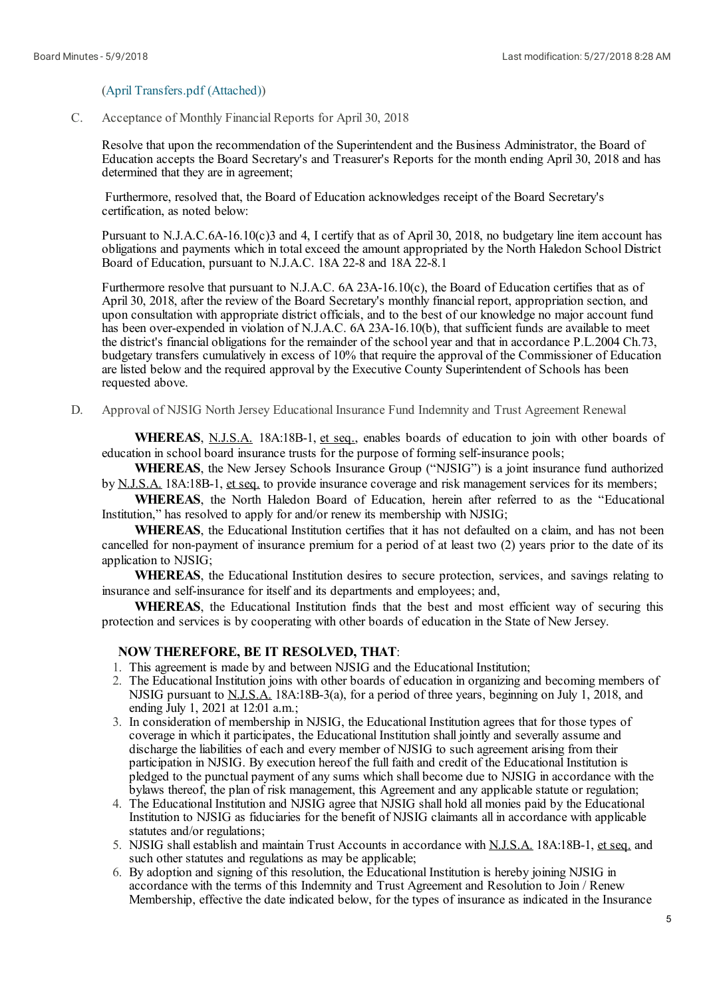### (April [Transfers.pdf](https://www.boardconnectnj.com/Item/DownloadAttachment/494) (Attached))

C. Acceptance of Monthly Financial Reports for April 30, 2018

Resolve that upon the recommendation of the Superintendent and the Business Administrator, the Board of Education accepts the Board Secretary's and Treasurer's Reports for the month ending April 30, 2018 and has determined that they are in agreement;

Furthermore, resolved that, the Board of Education acknowledges receipt of the Board Secretary's certification, as noted below:

Pursuant to N.J.A.C.6A-16.10(c)3 and 4, I certify that as of April 30, 2018, no budgetary line item account has obligations and payments which in totalexceed the amount appropriated by the North Haledon School District Board of Education, pursuant to N.J.A.C. 18A 22-8 and 18A 22-8.1

Furthermore resolve that pursuant to N.J.A.C. 6A 23A-16.10(c), the Board of Education certifies that as of April 30, 2018, after the review of the Board Secretary's monthly financial report, appropriation section, and upon consultation with appropriate district officials, and to the best of our knowledge no major account fund has been over-expended in violation of N.J.A.C. 6A 23A-16.10(b), that sufficient funds are available to meet the district's financial obligations for the remainder of the school year and that in accordance P.L.2004 Ch.73, budgetary transfers cumulatively in excess of 10% that require the approval of the Commissioner of Education are listed below and the required approval by the Executive County Superintendent of Schools has been requested above.

D. Approval of NJSIG North Jersey Educational Insurance Fund Indemnity and Trust Agreement Renewal

**WHEREAS**, N.J.S.A. 18A:18B-1, et seq., enables boards of education to join with other boards of education in school board insurance trusts for the purpose of forming self-insurance pools;

**WHEREAS**, the New Jersey Schools Insurance Group ("NJSIG") is a joint insurance fund authorized by N.J.S.A. 18A:18B-1, et seq. to provide insurance coverage and risk management services for its members;

**WHEREAS**, the North Haledon Board of Education, herein after referred to as the "Educational Institution," has resolved to apply for and/or renew its membership with NJSIG;

**WHEREAS**, the Educational Institution certifies that it has not defaulted on a claim, and has not been cancelled for non-payment of insurance premium for a period of at least two (2) years prior to the date of its application to NJSIG;

**WHEREAS**, the Educational Institution desires to secure protection, services, and savings relating to insurance and self-insurance for itself and its departments and employees; and,

**WHEREAS**, the Educational Institution finds that the best and most efficient way of securing this protection and services is by cooperating with other boards of education in the State of New Jersey.

### **NOW THEREFORE, BE IT RESOLVED, THAT**:

- 1. This agreement is made by and between NJSIG and the Educational Institution;
- 2. The Educational Institution joins with other boards of education in organizing and becoming members of NJSIG pursuant to N.J.S.A. 18A:18B-3(a), for a period of three years, beginning on July 1, 2018, and ending July 1, 2021 at 12:01 a.m.;
- 3. In consideration of membership in NJSIG, the Educational Institution agrees that for those types of coverage in which it participates, the Educational Institution shall jointly and severally assume and discharge the liabilities of each and every member of NJSIG to such agreement arising from their participation in NJSIG. By execution hereof the full faith and credit of the Educational Institution is pledged to the punctual payment of any sums which shall become due to NJSIG in accordance with the bylaws thereof, the plan of risk management, this Agreement and any applicable statute or regulation;
- 4. The Educational Institution and NJSIG agree that NJSIG shall hold all monies paid by the Educational Institution to NJSIG as fiduciaries for the benefit of NJSIG claimants all in accordance with applicable statutes and/or regulations;
- 5. NJSIG shallestablish and maintain Trust Accounts in accordance with N.J.S.A. 18A:18B-1, et seq. and such other statutes and regulations as may be applicable;
- 6. By adoption and signing of this resolution, the Educational Institution is hereby joining NJSIG in accordance with the terms of this Indemnity and Trust Agreement and Resolution to Join / Renew Membership, effective the date indicated below, for the types of insurance as indicated in the Insurance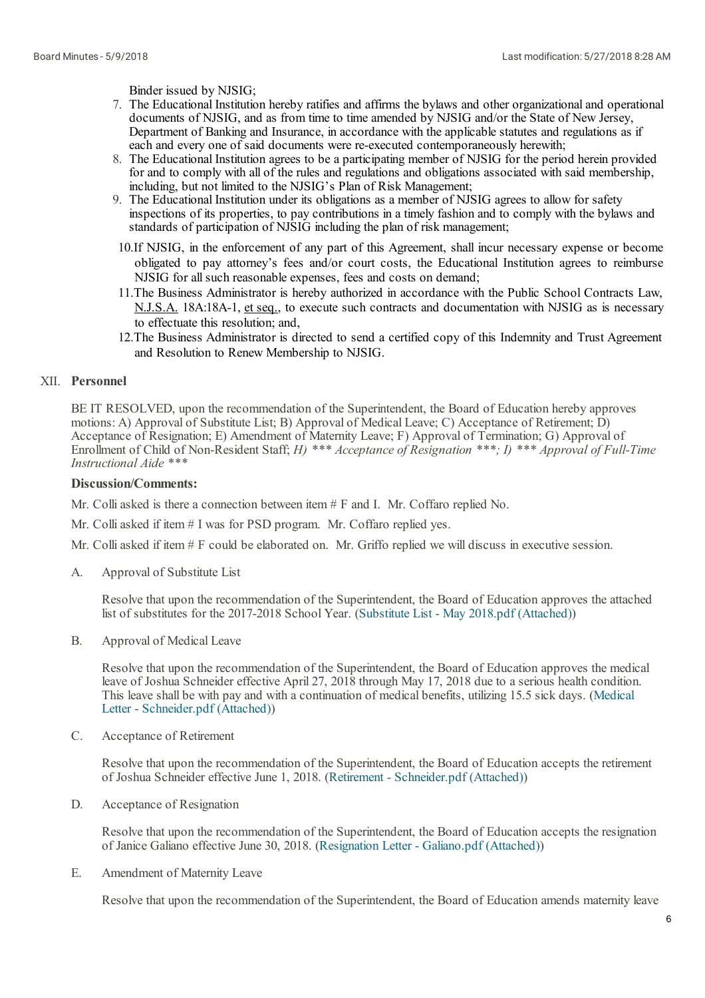Binder issued by NJSIG;

- 7. The Educational Institution hereby ratifies and affirms the bylaws and other organizationaland operational documents of NJSIG, and as from time to time amended by NJSIG and/or the State of New Jersey, Department of Banking and Insurance, in accordance with the applicable statutes and regulations as if each and every one of said documents were re-executed contemporaneously herewith;
- 8. The Educational Institution agrees to be a participating member of NJSIG for the period herein provided for and to comply with all of the rules and regulations and obligations associated with said membership, including, but not limited to the NJSIG's Plan of Risk Management;
- 9. The Educational Institution under its obligations as a member of NJSIG agrees to allow for safety inspections of its properties, to pay contributions in a timely fashion and to comply with the bylaws and standards of participation of NJSIG including the plan of risk management;
- 10.If NJSIG, in the enforcement of any part of this Agreement, shall incur necessary expense or become obligated to pay attorney's fees and/or court costs, the Educational Institution agrees to reimburse NJSIG for all such reasonable expenses, fees and costs on demand;
- 11.The Business Administrator is hereby authorized in accordance with the Public School Contracts Law, N.J.S.A. 18A:18A-1, et seq., to execute such contracts and documentation with NJSIG as is necessary to effectuate this resolution; and,
- 12.The Business Administrator is directed to send a certified copy of this Indemnity and Trust Agreement and Resolution to Renew Membership to NJSIG.

# XII. **Personnel**

BE IT RESOLVED, upon the recommendation of the Superintendent, the Board of Education hereby approves motions: A) Approval of Substitute List; B) Approval of Medical Leave; C) Acceptance of Retirement; D) Acceptance of Resignation; E) Amendment of Maternity Leave; F) Approval of Termination; G) Approval of Enrollment of Child of Non-Resident Staff; *H) \*\*\* Acceptance of Resignation \*\*\*; I) \*\*\* Approval of Full-Time Instructional Aide \*\*\**

## **Discussion/Comments:**

Mr. Colliasked is there a connection between item # F and I. Mr. Coffaro replied No.

Mr. Colliasked if item # I was for PSD program. Mr. Coffaro replied yes.

Mr. Colliasked if item # F could be elaborated on. Mr. Griffo replied we will discuss in executive session.

A. Approval of Substitute List

> Resolve that upon the recommendation of the Superintendent, the Board of Education approves the attached list of substitutes for the 2017-2018 School Year. (Substitute List - May 2018.pdf [\(Attached\)](https://www.boardconnectnj.com/Item/DownloadAttachment/475))

B. Approval of Medical Leave

> Resolve that upon the recommendation of the Superintendent, the Board of Education approves the medical leave of Joshua Schneider effective April 27, 2018 through May 17, 2018 due to a serious health condition. This leave shall be with pay and with a continuation of medical benefits, utilizing 15.5 sick days. (Medical Letter - [Schneider.pdf](https://www.boardconnectnj.com/Item/DownloadAttachment/493) (Attached))

C. Acceptance of Retirement

> Resolve that upon the recommendation of the Superintendent, the Board of Education accepts the retirement of Joshua Schneider effective June 1, 2018. (Retirement - [Schneider.pdf](https://www.boardconnectnj.com/Item/DownloadAttachment/491) (Attached))

D. Acceptance of Resignation

> Resolve that upon the recommendation of the Superintendent, the Board of Education accepts the resignation of Janice Galiano effective June 30, 2018. [\(Resignation](https://www.boardconnectnj.com/Item/DownloadAttachment/456) Letter - Galiano.pdf (Attached))

E. Amendment of Maternity Leave

Resolve that upon the recommendation of the Superintendent, the Board of Education amends maternity leave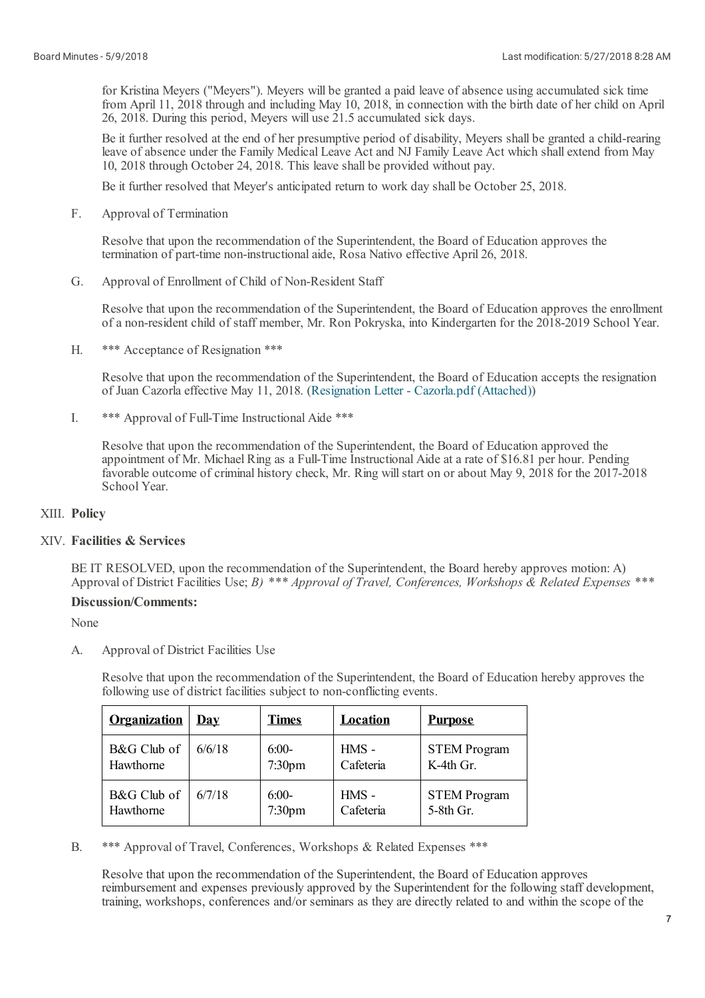for Kristina Meyers ("Meyers"). Meyers will be granted a paid leave of absence using accumulated sick time from April 11, 2018 through and including May 10, 2018, in connection with the birth date of her child on April 26, 2018. During this period, Meyers will use 21.5 accumulated sick days.

Be it further resolved at the end of her presumptive period of disability, Meyers shall be granted a child-rearing leave of absence under the Family Medical Leave Act and NJ Family Leave Act which shallextend from May 10, 2018 through October 24, 2018. This leave shall be provided without pay.

Be it further resolved that Meyer's anticipated return to work day shall be October 25, 2018.

F. Approval of Termination

> Resolve that upon the recommendation of the Superintendent, the Board of Education approves the termination of part-time non-instructionalaide, Rosa Nativo effective April 26, 2018.

G. Approval of Enrollment of Child of Non-Resident Staff

Resolve that upon the recommendation of the Superintendent, the Board of Education approves the enrollment of a non-resident child of staff member, Mr. Ron Pokryska, into Kindergarten for the 2018-2019 School Year.

H. \*\*\* Acceptance of Resignation \*\*\*

> Resolve that upon the recommendation of the Superintendent, the Board of Education accepts the resignation of Juan Cazorla effective May 11, 2018. [\(Resignation](https://www.boardconnectnj.com/Item/DownloadAttachment/495) Letter - Cazorla.pdf (Attached))

I. \*\*\* Approval of Full-Time Instructional Aide \*\*\*

> Resolve that upon the recommendation of the Superintendent, the Board of Education approved the appointment of Mr. Michael Ring as a Full-Time Instructional Aide at a rate of \$16.81 per hour. Pending favorable outcome of criminal history check, Mr. Ring will start on or about May 9, 2018 for the 2017-2018 School Year.

## XIII. **Policy**

# XIV. **Facilities & Services**

BE IT RESOLVED, upon the recommendation of the Superintendent, the Board hereby approves motion: A) Approval of District Facilities Use; *B) \*\*\* Approval of Travel, Conferences, Workshops & Related Expenses \*\*\**

## **Discussion/Comments:**

None

A. Approval of District Facilities Use

> Resolve that upon the recommendation of the Superintendent, the Board of Education hereby approves the following use of district facilities subject to non-conflicting events.

| <b>Organization</b> | <u>Dav</u> | <b>Times</b>       | <b>Location</b> | <b>Purpose</b>      |
|---------------------|------------|--------------------|-----------------|---------------------|
| B&G Club of         | 6/6/18     | $6:00-$            | HMS -           | <b>STEM Program</b> |
| Hawthorne           |            | 7:30 <sub>pm</sub> | Cafeteria       | $K-4th$ Gr.         |
| B&G Club of         | 6/7/18     | $6:00-$            | $HMS -$         | <b>STEM Program</b> |
| Hawthorne           |            | 7:30 <sub>pm</sub> | Cafeteria       | 5-8th Gr.           |

B. \*\*\* Approval of Travel, Conferences, Workshops & Related Expenses \*\*\*

Resolve that upon the recommendation of the Superintendent, the Board of Education approves reimbursement and expenses previously approved by the Superintendent for the following staff development, training, workshops, conferences and/or seminars as they are directly related to and within the scope of the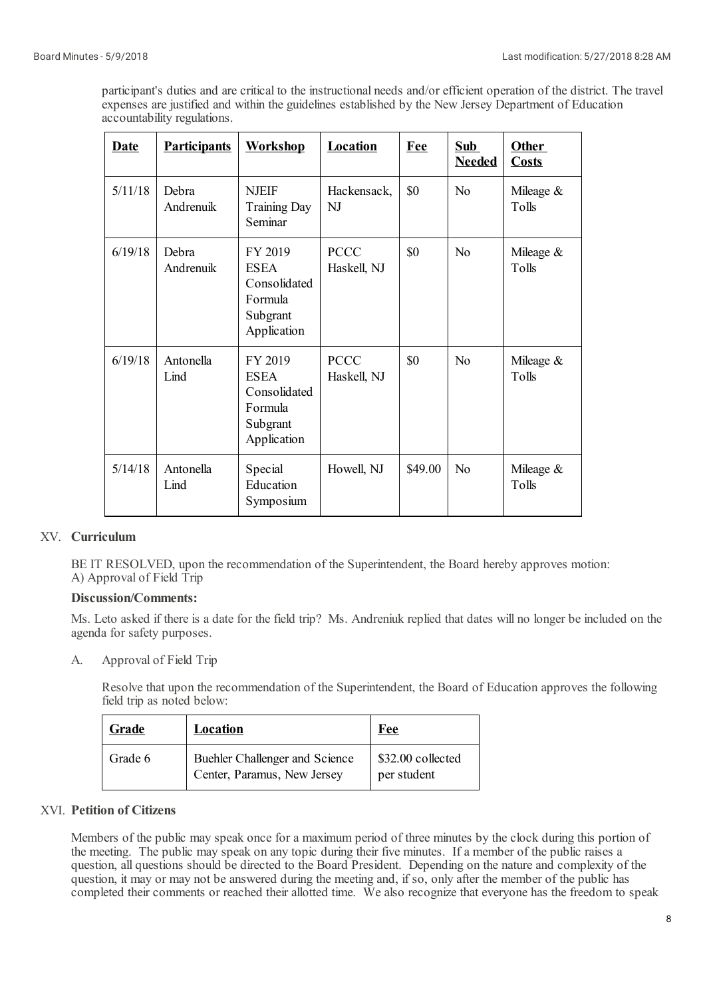participant's duties and are critical to the instructional needs and/or efficient operation of the district. The travel expenses are justified and within the guidelines established by the New Jersey Department of Education accountability regulations.

| <b>Date</b> | <b>Participants</b> | <b>Workshop</b>                                                              | <b>Location</b>            | Fee     | <b>Sub</b><br><b>Needed</b> | <b>Other</b><br><b>Costs</b> |
|-------------|---------------------|------------------------------------------------------------------------------|----------------------------|---------|-----------------------------|------------------------------|
| 5/11/18     | Debra<br>Andrenuik  | <b>NJEIF</b><br><b>Training Day</b><br>Seminar                               | Hackensack,<br>NJ          | \$0     | No                          | Mileage $&$<br>Tolls         |
| 6/19/18     | Debra<br>Andrenuik  | FY 2019<br><b>ESEA</b><br>Consolidated<br>Formula<br>Subgrant<br>Application | <b>PCCC</b><br>Haskell, NJ | \$0     | No                          | Mileage $&$<br>Tolls         |
| 6/19/18     | Antonella<br>Lind   | FY 2019<br><b>ESEA</b><br>Consolidated<br>Formula<br>Subgrant<br>Application | <b>PCCC</b><br>Haskell, NJ | \$0     | N <sub>0</sub>              | Mileage $&$<br>Tolls         |
| 5/14/18     | Antonella<br>Lind   | Special<br>Education<br>Symposium                                            | Howell, NJ                 | \$49.00 | No                          | Mileage $&$<br>Tolls         |

# XV. **Curriculum**

BE IT RESOLVED, upon the recommendation of the Superintendent, the Board hereby approves motion: A) Approval of Field Trip

## **Discussion/Comments:**

Ms. Leto asked if there is a date for the field trip? Ms. Andreniuk replied that dates will no longer be included on the agenda for safety purposes.

A. Approval of Field Trip

> Resolve that upon the recommendation of the Superintendent, the Board of Education approves the following field trip as noted below:

| Grade   | Location                                                      | Fee                              |
|---------|---------------------------------------------------------------|----------------------------------|
| Grade 6 | Buehler Challenger and Science<br>Center, Paramus, New Jersey | \$32.00 collected<br>per student |

# XVI. **Petition of Citizens**

Members of the public may speak once for a maximum period of three minutes by the clock during this portion of the meeting. The public may speak on any topic during their five minutes. If a member of the public raises a question, all questions should be directed to the Board President. Depending on the nature and complexity of the question, it may or may not be answered during the meeting and, if so, only after the member of the public has completed their comments or reached their allotted time. We also recognize that everyone has the freedom to speak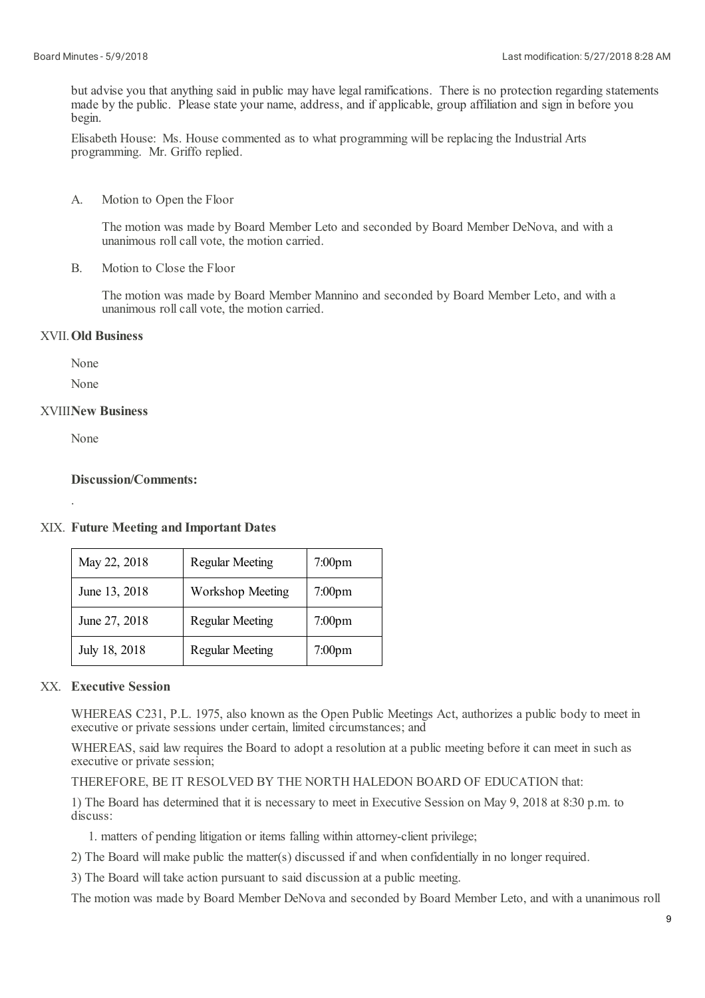but advise you that anything said in public may have legal ramifications. There is no protection regarding statements made by the public. Please state your name, address, and if applicable, group affiliation and sign in before you begin.

Elisabeth House: Ms. House commented as to what programming will be replacing the Industrial Arts programming. Mr. Griffo replied.

A. Motion to Open the Floor

> The motion was made by Board Member Leto and seconded by Board Member DeNova, and with a unanimous roll call vote, the motion carried.

B. Motion to Close the Floor

> The motion was made by Board Member Mannino and seconded by Board Member Leto, and with a unanimous roll call vote, the motion carried.

# XVII. **Old Business**

None

None

# XVIII. **New Business**

None

.

## **Discussion/Comments:**

XIX. **Future Meeting and Important Dates**

| May 22, 2018  | <b>Regular Meeting</b>  | 7:00 <sub>pm</sub> |
|---------------|-------------------------|--------------------|
| June 13, 2018 | <b>Workshop Meeting</b> | $7:00$ pm          |
| June 27, 2018 | <b>Regular Meeting</b>  | $7:00$ pm          |
| July 18, 2018 | <b>Regular Meeting</b>  | 7:00 <sub>pm</sub> |

# XX. **Executive Session**

WHEREAS C231, P.L. 1975, also known as the Open Public Meetings Act, authorizes a public body to meet in executive or private sessions under certain, limited circumstances; and

WHEREAS, said law requires the Board to adopt a resolution at a public meeting before it can meet in such as executive or private session;

THEREFORE, BE IT RESOLVED BY THE NORTH HALEDON BOARD OF EDUCATION that:

1) The Board has determined that it is necessary to meet in Executive Session on May 9, 2018 at 8:30 p.m. to discuss:

1. matters of pending litigation or items falling within attorney-client privilege;

2) The Board will make public the matter(s) discussed if and when confidentially in no longer required.

3) The Board will take action pursuant to said discussion at a public meeting.

The motion was made by Board Member DeNova and seconded by Board Member Leto, and with a unanimous roll